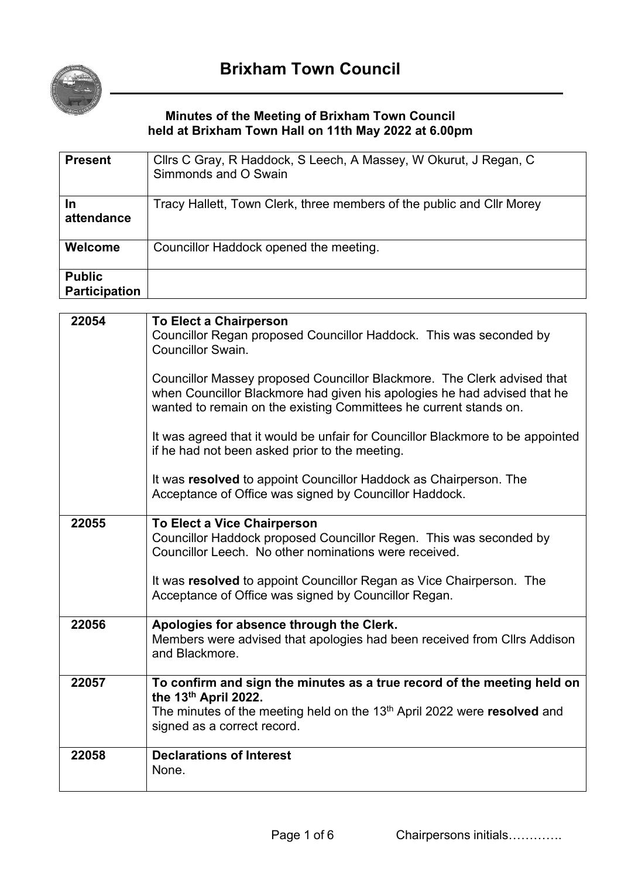

## **Minutes of the Meeting of Brixham Town Council held at Brixham Town Hall on 11th May 2022 at 6.00pm**

| <b>Present</b>                        | Clirs C Gray, R Haddock, S Leech, A Massey, W Okurut, J Regan, C<br>Simmonds and O Swain |
|---------------------------------------|------------------------------------------------------------------------------------------|
| In<br>attendance                      | Tracy Hallett, Town Clerk, three members of the public and Cllr Morey                    |
| Welcome                               | Councillor Haddock opened the meeting.                                                   |
| <b>Public</b><br><b>Participation</b> |                                                                                          |

| 22054 | <b>To Elect a Chairperson</b>                                                               |
|-------|---------------------------------------------------------------------------------------------|
|       | Councillor Regan proposed Councillor Haddock. This was seconded by                          |
|       | <b>Councillor Swain.</b>                                                                    |
|       |                                                                                             |
|       | Councillor Massey proposed Councillor Blackmore. The Clerk advised that                     |
|       | when Councillor Blackmore had given his apologies he had advised that he                    |
|       | wanted to remain on the existing Committees he current stands on.                           |
|       |                                                                                             |
|       | It was agreed that it would be unfair for Councillor Blackmore to be appointed              |
|       | if he had not been asked prior to the meeting.                                              |
|       |                                                                                             |
|       | It was resolved to appoint Councillor Haddock as Chairperson. The                           |
|       | Acceptance of Office was signed by Councillor Haddock.                                      |
|       |                                                                                             |
| 22055 | <b>To Elect a Vice Chairperson</b>                                                          |
|       | Councillor Haddock proposed Councillor Regen. This was seconded by                          |
|       | Councillor Leech. No other nominations were received.                                       |
|       |                                                                                             |
|       | It was resolved to appoint Councillor Regan as Vice Chairperson. The                        |
|       | Acceptance of Office was signed by Councillor Regan.                                        |
|       |                                                                                             |
| 22056 | Apologies for absence through the Clerk.                                                    |
|       | Members were advised that apologies had been received from Cllrs Addison                    |
|       | and Blackmore.                                                                              |
|       |                                                                                             |
| 22057 | To confirm and sign the minutes as a true record of the meeting held on                     |
|       | the 13th April 2022.                                                                        |
|       | The minutes of the meeting held on the 13 <sup>th</sup> April 2022 were <b>resolved</b> and |
|       | signed as a correct record.                                                                 |
|       |                                                                                             |
| 22058 | <b>Declarations of Interest</b>                                                             |
|       | None.                                                                                       |
|       |                                                                                             |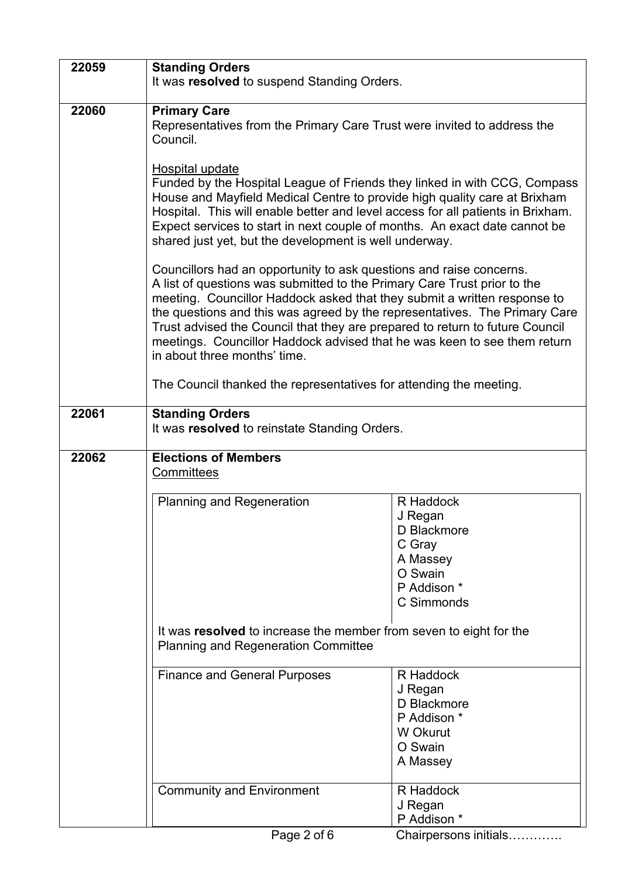| 22059                                                                                                            | <b>Standing Orders</b><br>It was resolved to suspend Standing Orders.                                                                                                                                                                                                                                                                                                                                                                                                                                                                                                                                                                                                                                                                                                                                                                                                                                                |                                                                                                   |  |
|------------------------------------------------------------------------------------------------------------------|----------------------------------------------------------------------------------------------------------------------------------------------------------------------------------------------------------------------------------------------------------------------------------------------------------------------------------------------------------------------------------------------------------------------------------------------------------------------------------------------------------------------------------------------------------------------------------------------------------------------------------------------------------------------------------------------------------------------------------------------------------------------------------------------------------------------------------------------------------------------------------------------------------------------|---------------------------------------------------------------------------------------------------|--|
|                                                                                                                  |                                                                                                                                                                                                                                                                                                                                                                                                                                                                                                                                                                                                                                                                                                                                                                                                                                                                                                                      |                                                                                                   |  |
| 22060                                                                                                            | <b>Primary Care</b><br>Representatives from the Primary Care Trust were invited to address the<br>Council.                                                                                                                                                                                                                                                                                                                                                                                                                                                                                                                                                                                                                                                                                                                                                                                                           |                                                                                                   |  |
|                                                                                                                  | <b>Hospital update</b><br>Funded by the Hospital League of Friends they linked in with CCG, Compass<br>House and Mayfield Medical Centre to provide high quality care at Brixham<br>Hospital. This will enable better and level access for all patients in Brixham.<br>Expect services to start in next couple of months. An exact date cannot be<br>shared just yet, but the development is well underway.<br>Councillors had an opportunity to ask questions and raise concerns.<br>A list of questions was submitted to the Primary Care Trust prior to the<br>meeting. Councillor Haddock asked that they submit a written response to<br>the questions and this was agreed by the representatives. The Primary Care<br>Trust advised the Council that they are prepared to return to future Council<br>meetings. Councillor Haddock advised that he was keen to see them return<br>in about three months' time. |                                                                                                   |  |
|                                                                                                                  |                                                                                                                                                                                                                                                                                                                                                                                                                                                                                                                                                                                                                                                                                                                                                                                                                                                                                                                      |                                                                                                   |  |
|                                                                                                                  | The Council thanked the representatives for attending the meeting.                                                                                                                                                                                                                                                                                                                                                                                                                                                                                                                                                                                                                                                                                                                                                                                                                                                   |                                                                                                   |  |
| 22061                                                                                                            | <b>Standing Orders</b><br>It was resolved to reinstate Standing Orders.                                                                                                                                                                                                                                                                                                                                                                                                                                                                                                                                                                                                                                                                                                                                                                                                                                              |                                                                                                   |  |
| 22062                                                                                                            | <b>Elections of Members</b><br><b>Committees</b>                                                                                                                                                                                                                                                                                                                                                                                                                                                                                                                                                                                                                                                                                                                                                                                                                                                                     |                                                                                                   |  |
|                                                                                                                  | <b>Planning and Regeneration</b>                                                                                                                                                                                                                                                                                                                                                                                                                                                                                                                                                                                                                                                                                                                                                                                                                                                                                     | R Haddock<br>J Regan<br>D Blackmore<br>C Gray<br>A Massey<br>O Swain<br>P Addison *<br>C Simmonds |  |
| It was resolved to increase the member from seven to eight for the<br><b>Planning and Regeneration Committee</b> |                                                                                                                                                                                                                                                                                                                                                                                                                                                                                                                                                                                                                                                                                                                                                                                                                                                                                                                      |                                                                                                   |  |
|                                                                                                                  | <b>Finance and General Purposes</b>                                                                                                                                                                                                                                                                                                                                                                                                                                                                                                                                                                                                                                                                                                                                                                                                                                                                                  | R Haddock<br>J Regan<br>D Blackmore<br>P Addison *<br>W Okurut<br>O Swain<br>A Massey             |  |
|                                                                                                                  | <b>Community and Environment</b>                                                                                                                                                                                                                                                                                                                                                                                                                                                                                                                                                                                                                                                                                                                                                                                                                                                                                     | R Haddock<br>J Regan<br>P Addison *                                                               |  |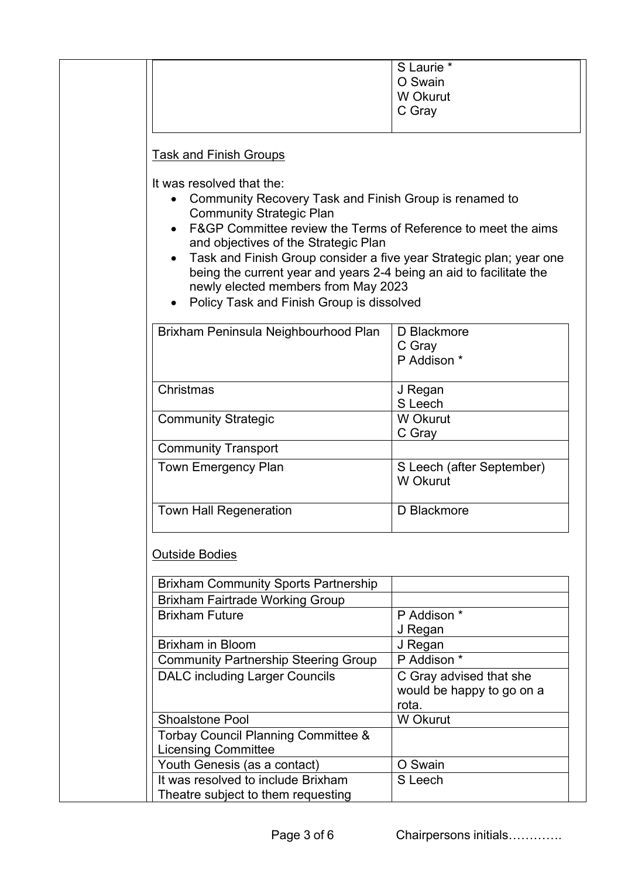|                                                                                                                                                                                                                                                                           | S Laurie *<br>O Swain<br>W Okurut<br>C Gray |
|---------------------------------------------------------------------------------------------------------------------------------------------------------------------------------------------------------------------------------------------------------------------------|---------------------------------------------|
| <b>Task and Finish Groups</b>                                                                                                                                                                                                                                             |                                             |
| Community Recovery Task and Finish Group is renamed to<br><b>Community Strategic Plan</b><br>F&GP Committee review the Terms of Reference to meet the aims<br>and objectives of the Strategic Plan<br>Task and Finish Group consider a five year Strategic plan; year one |                                             |
| being the current year and years 2-4 being an aid to facilitate the<br>newly elected members from May 2023<br>Policy Task and Finish Group is dissolved                                                                                                                   |                                             |
| Brixham Peninsula Neighbourhood Plan                                                                                                                                                                                                                                      | D Blackmore<br>C Gray<br>P Addison *        |
| Christmas                                                                                                                                                                                                                                                                 | J Regan                                     |
| <b>Community Strategic</b>                                                                                                                                                                                                                                                | S Leech<br>W Okurut                         |
| <b>Community Transport</b>                                                                                                                                                                                                                                                | C Gray                                      |
| <b>Town Emergency Plan</b>                                                                                                                                                                                                                                                | S Leech (after September)<br>W Okurut       |

## Outside Bodies

| <b>Brixham Community Sports Partnership</b>    |                                                               |
|------------------------------------------------|---------------------------------------------------------------|
| <b>Brixham Fairtrade Working Group</b>         |                                                               |
| <b>Brixham Future</b>                          | P Addison *                                                   |
|                                                | J Regan                                                       |
| <b>Brixham in Bloom</b>                        | J Regan                                                       |
| <b>Community Partnership Steering Group</b>    | P Addison *                                                   |
| <b>DALC</b> including Larger Councils          | C Gray advised that she<br>would be happy to go on a<br>rota. |
| <b>Shoalstone Pool</b>                         | W Okurut                                                      |
| <b>Torbay Council Planning Committee &amp;</b> |                                                               |
| <b>Licensing Committee</b>                     |                                                               |
| Youth Genesis (as a contact)                   | O Swain                                                       |
| It was resolved to include Brixham             | S Leech                                                       |
| Theatre subject to them requesting             |                                                               |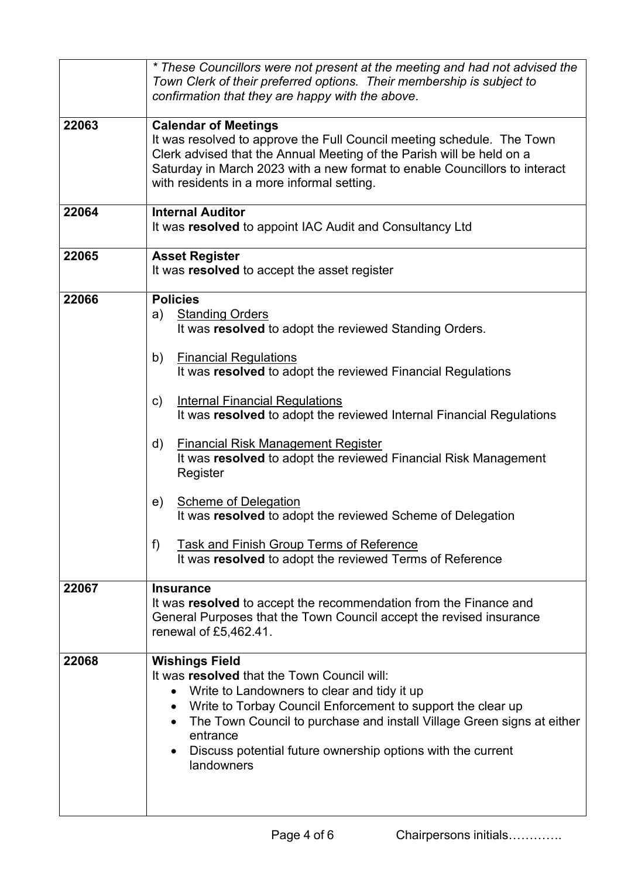|       | * These Councillors were not present at the meeting and had not advised the<br>Town Clerk of their preferred options. Their membership is subject to<br>confirmation that they are happy with the above.                                                                                                                                                                                                                                                                                                                                                                                                                                                                                        |  |  |
|-------|-------------------------------------------------------------------------------------------------------------------------------------------------------------------------------------------------------------------------------------------------------------------------------------------------------------------------------------------------------------------------------------------------------------------------------------------------------------------------------------------------------------------------------------------------------------------------------------------------------------------------------------------------------------------------------------------------|--|--|
| 22063 | <b>Calendar of Meetings</b><br>It was resolved to approve the Full Council meeting schedule. The Town<br>Clerk advised that the Annual Meeting of the Parish will be held on a<br>Saturday in March 2023 with a new format to enable Councillors to interact<br>with residents in a more informal setting.                                                                                                                                                                                                                                                                                                                                                                                      |  |  |
| 22064 | <b>Internal Auditor</b><br>It was resolved to appoint IAC Audit and Consultancy Ltd                                                                                                                                                                                                                                                                                                                                                                                                                                                                                                                                                                                                             |  |  |
| 22065 | <b>Asset Register</b><br>It was resolved to accept the asset register                                                                                                                                                                                                                                                                                                                                                                                                                                                                                                                                                                                                                           |  |  |
| 22066 | <b>Policies</b><br><b>Standing Orders</b><br>a)<br>It was resolved to adopt the reviewed Standing Orders.<br><b>Financial Regulations</b><br>b)<br>It was resolved to adopt the reviewed Financial Regulations<br><b>Internal Financial Regulations</b><br>c)<br>It was resolved to adopt the reviewed Internal Financial Regulations<br>d)<br><b>Financial Risk Management Register</b><br>It was resolved to adopt the reviewed Financial Risk Management<br>Register<br><b>Scheme of Delegation</b><br>e)<br>It was resolved to adopt the reviewed Scheme of Delegation<br>f)<br><b>Task and Finish Group Terms of Reference</b><br>It was resolved to adopt the reviewed Terms of Reference |  |  |
| 22067 | <b>Insurance</b><br>It was resolved to accept the recommendation from the Finance and<br>General Purposes that the Town Council accept the revised insurance<br>renewal of £5,462.41.                                                                                                                                                                                                                                                                                                                                                                                                                                                                                                           |  |  |
| 22068 | <b>Wishings Field</b><br>It was resolved that the Town Council will:<br>Write to Landowners to clear and tidy it up<br>$\bullet$<br>Write to Torbay Council Enforcement to support the clear up<br>The Town Council to purchase and install Village Green signs at either<br>entrance<br>Discuss potential future ownership options with the current<br>landowners                                                                                                                                                                                                                                                                                                                              |  |  |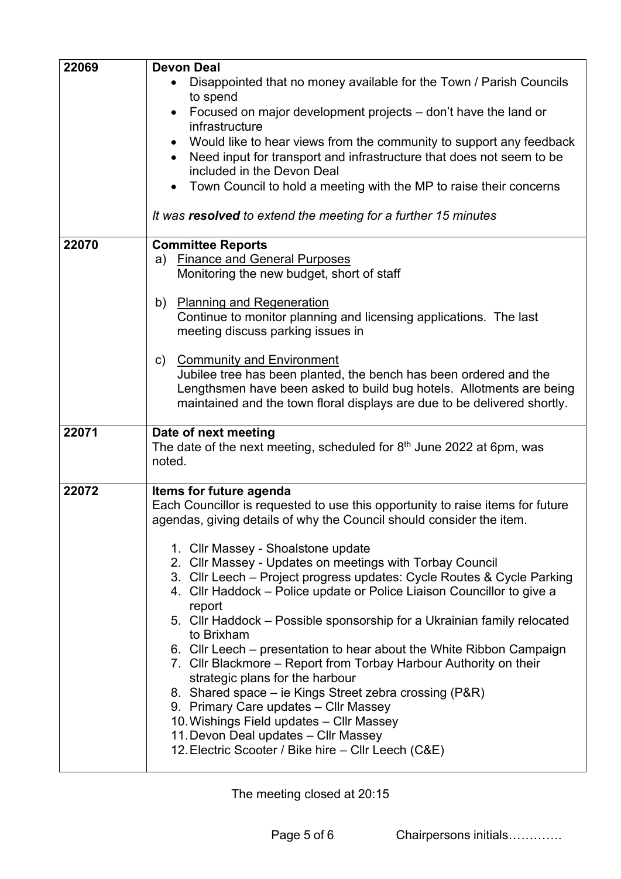| 22069 | <b>Devon Deal</b>                                                                                  |
|-------|----------------------------------------------------------------------------------------------------|
|       | Disappointed that no money available for the Town / Parish Councils<br>٠                           |
|       | to spend                                                                                           |
|       | Focused on major development projects - don't have the land or<br>infrastructure                   |
|       | Would like to hear views from the community to support any feedback                                |
|       | Need input for transport and infrastructure that does not seem to be<br>included in the Devon Deal |
|       | Town Council to hold a meeting with the MP to raise their concerns                                 |
|       | It was resolved to extend the meeting for a further 15 minutes                                     |
| 22070 | <b>Committee Reports</b>                                                                           |
|       | <b>Finance and General Purposes</b><br>a)                                                          |
|       | Monitoring the new budget, short of staff                                                          |
|       | <b>Planning and Regeneration</b><br>b)                                                             |
|       | Continue to monitor planning and licensing applications. The last                                  |
|       | meeting discuss parking issues in                                                                  |
|       | c) Community and Environment                                                                       |
|       | Jubilee tree has been planted, the bench has been ordered and the                                  |
|       | Lengthsmen have been asked to build bug hotels. Allotments are being                               |
|       | maintained and the town floral displays are due to be delivered shortly.                           |
| 22071 | Date of next meeting                                                                               |
|       | The date of the next meeting, scheduled for $8th$ June 2022 at 6pm, was                            |
|       | noted.                                                                                             |
| 22072 | Items for future agenda                                                                            |
|       | Each Councillor is requested to use this opportunity to raise items for future                     |
|       | agendas, giving details of why the Council should consider the item.                               |
|       | 1. Cllr Massey - Shoalstone update                                                                 |
|       | 2. Cllr Massey - Updates on meetings with Torbay Council                                           |
|       | 3. Cllr Leech – Project progress updates: Cycle Routes & Cycle Parking                             |
|       | 4. Cllr Haddock – Police update or Police Liaison Councillor to give a                             |
|       | report<br>5. Cllr Haddock – Possible sponsorship for a Ukrainian family relocated                  |
|       | to Brixham                                                                                         |
|       | 6. Cllr Leech – presentation to hear about the White Ribbon Campaign                               |
|       | 7. Cllr Blackmore – Report from Torbay Harbour Authority on their                                  |
|       | strategic plans for the harbour<br>8. Shared space – ie Kings Street zebra crossing (P&R)          |
|       | 9. Primary Care updates - Cllr Massey                                                              |
|       | 10. Wishings Field updates - Cllr Massey                                                           |
|       | 11. Devon Deal updates - Cllr Massey                                                               |
|       | 12. Electric Scooter / Bike hire - Cllr Leech (C&E)                                                |

The meeting closed at 20:15